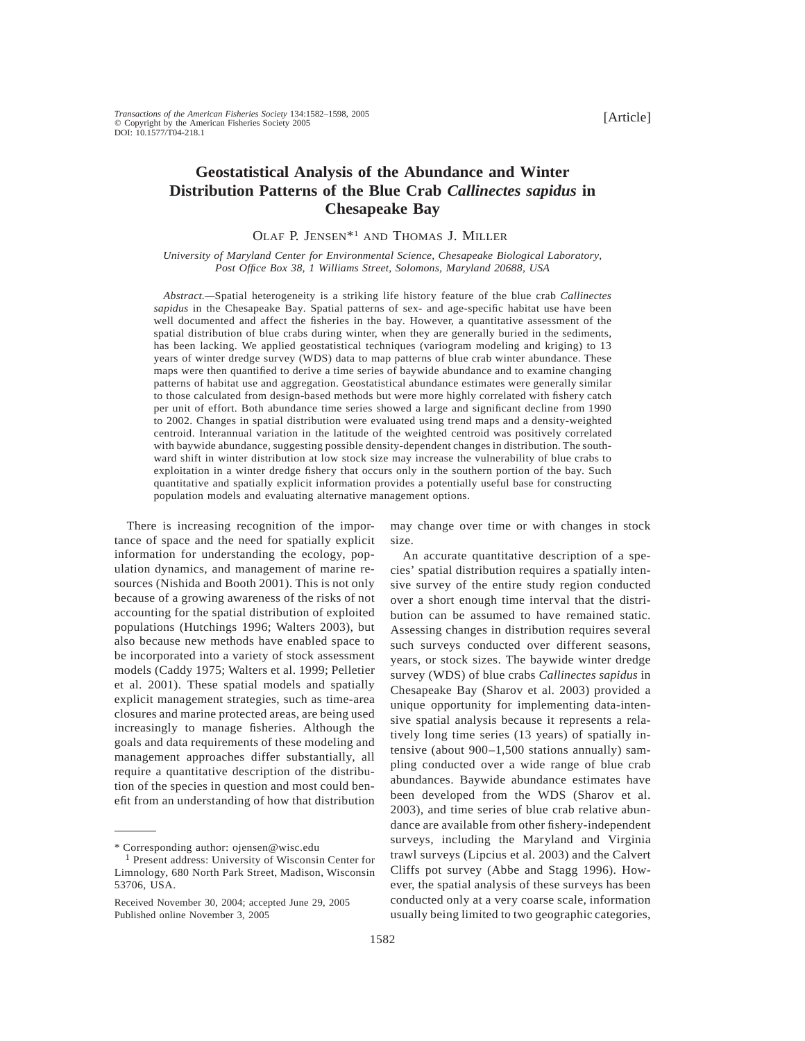# **Geostatistical Analysis of the Abundance and Winter Distribution Patterns of the Blue Crab** *Callinectes sapidus* **in Chesapeake Bay**

OLAF P. JENSEN\*1 AND THOMAS J. MILLER

*University of Maryland Center for Environmental Science, Chesapeake Biological Laboratory, Post Office Box 38, 1 Williams Street, Solomons, Maryland 20688, USA*

*Abstract.—*Spatial heterogeneity is a striking life history feature of the blue crab *Callinectes sapidus* in the Chesapeake Bay. Spatial patterns of sex- and age-specific habitat use have been well documented and affect the fisheries in the bay. However, a quantitative assessment of the spatial distribution of blue crabs during winter, when they are generally buried in the sediments, has been lacking. We applied geostatistical techniques (variogram modeling and kriging) to 13 years of winter dredge survey (WDS) data to map patterns of blue crab winter abundance. These maps were then quantified to derive a time series of baywide abundance and to examine changing patterns of habitat use and aggregation. Geostatistical abundance estimates were generally similar to those calculated from design-based methods but were more highly correlated with fishery catch per unit of effort. Both abundance time series showed a large and significant decline from 1990 to 2002. Changes in spatial distribution were evaluated using trend maps and a density-weighted centroid. Interannual variation in the latitude of the weighted centroid was positively correlated with baywide abundance, suggesting possible density-dependent changes in distribution. The southward shift in winter distribution at low stock size may increase the vulnerability of blue crabs to exploitation in a winter dredge fishery that occurs only in the southern portion of the bay. Such quantitative and spatially explicit information provides a potentially useful base for constructing population models and evaluating alternative management options.

There is increasing recognition of the importance of space and the need for spatially explicit information for understanding the ecology, population dynamics, and management of marine resources (Nishida and Booth 2001). This is not only because of a growing awareness of the risks of not accounting for the spatial distribution of exploited populations (Hutchings 1996; Walters 2003), but also because new methods have enabled space to be incorporated into a variety of stock assessment models (Caddy 1975; Walters et al. 1999; Pelletier et al. 2001). These spatial models and spatially explicit management strategies, such as time-area closures and marine protected areas, are being used increasingly to manage fisheries. Although the goals and data requirements of these modeling and management approaches differ substantially, all require a quantitative description of the distribution of the species in question and most could benefit from an understanding of how that distribution

may change over time or with changes in stock size.

An accurate quantitative description of a species' spatial distribution requires a spatially intensive survey of the entire study region conducted over a short enough time interval that the distribution can be assumed to have remained static. Assessing changes in distribution requires several such surveys conducted over different seasons, years, or stock sizes. The baywide winter dredge survey (WDS) of blue crabs *Callinectes sapidus* in Chesapeake Bay (Sharov et al. 2003) provided a unique opportunity for implementing data-intensive spatial analysis because it represents a relatively long time series (13 years) of spatially intensive (about 900–1,500 stations annually) sampling conducted over a wide range of blue crab abundances. Baywide abundance estimates have been developed from the WDS (Sharov et al. 2003), and time series of blue crab relative abundance are available from other fishery-independent surveys, including the Maryland and Virginia trawl surveys (Lipcius et al. 2003) and the Calvert Cliffs pot survey (Abbe and Stagg 1996). However, the spatial analysis of these surveys has been conducted only at a very coarse scale, information usually being limited to two geographic categories,

<sup>\*</sup> Corresponding author: ojensen@wisc.edu <sup>1</sup> Present address: University of Wisconsin Center for Limnology, 680 North Park Street, Madison, Wisconsin 53706, USA.

Received November 30, 2004; accepted June 29, 2005 Published online November 3, 2005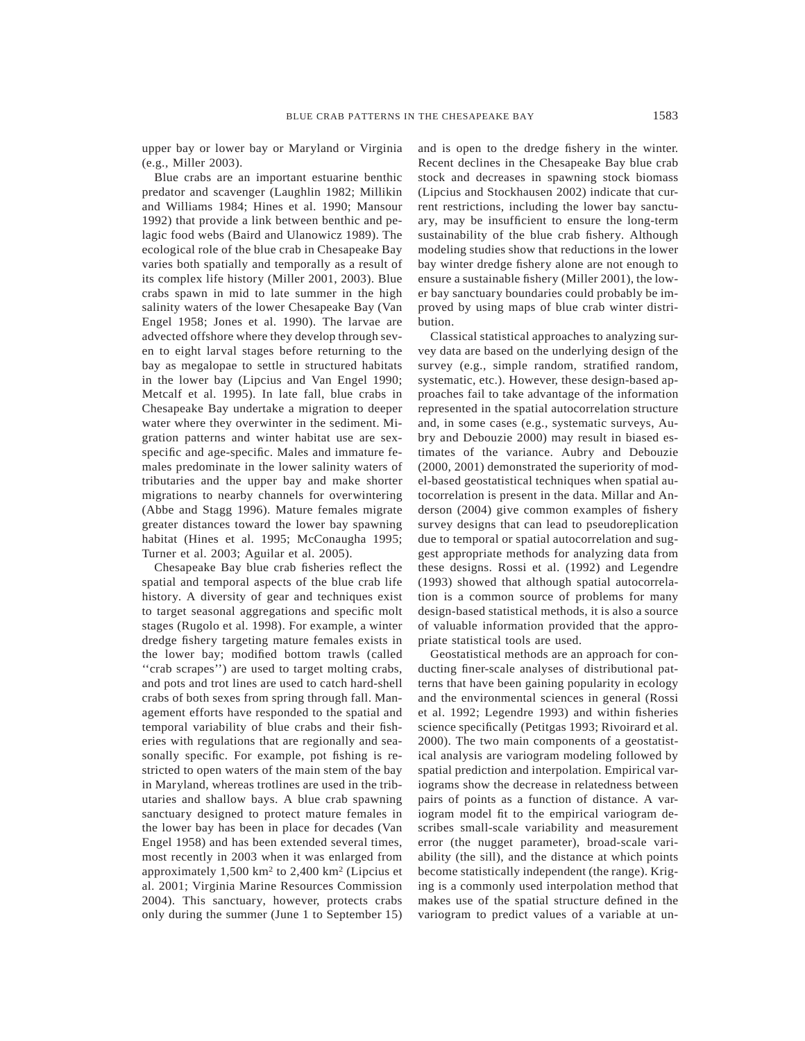upper bay or lower bay or Maryland or Virginia (e.g., Miller 2003).

Blue crabs are an important estuarine benthic predator and scavenger (Laughlin 1982; Millikin and Williams 1984; Hines et al. 1990; Mansour 1992) that provide a link between benthic and pelagic food webs (Baird and Ulanowicz 1989). The ecological role of the blue crab in Chesapeake Bay varies both spatially and temporally as a result of its complex life history (Miller 2001, 2003). Blue crabs spawn in mid to late summer in the high salinity waters of the lower Chesapeake Bay (Van Engel 1958; Jones et al. 1990). The larvae are advected offshore where they develop through seven to eight larval stages before returning to the bay as megalopae to settle in structured habitats in the lower bay (Lipcius and Van Engel 1990; Metcalf et al. 1995). In late fall, blue crabs in Chesapeake Bay undertake a migration to deeper water where they overwinter in the sediment. Migration patterns and winter habitat use are sexspecific and age-specific. Males and immature females predominate in the lower salinity waters of tributaries and the upper bay and make shorter migrations to nearby channels for overwintering (Abbe and Stagg 1996). Mature females migrate greater distances toward the lower bay spawning habitat (Hines et al. 1995; McConaugha 1995; Turner et al. 2003; Aguilar et al. 2005).

Chesapeake Bay blue crab fisheries reflect the spatial and temporal aspects of the blue crab life history. A diversity of gear and techniques exist to target seasonal aggregations and specific molt stages (Rugolo et al. 1998). For example, a winter dredge fishery targeting mature females exists in the lower bay; modified bottom trawls (called ''crab scrapes'') are used to target molting crabs, and pots and trot lines are used to catch hard-shell crabs of both sexes from spring through fall. Management efforts have responded to the spatial and temporal variability of blue crabs and their fisheries with regulations that are regionally and seasonally specific. For example, pot fishing is restricted to open waters of the main stem of the bay in Maryland, whereas trotlines are used in the tributaries and shallow bays. A blue crab spawning sanctuary designed to protect mature females in the lower bay has been in place for decades (Van Engel 1958) and has been extended several times, most recently in 2003 when it was enlarged from approximately 1,500 km2 to 2,400 km2 (Lipcius et al. 2001; Virginia Marine Resources Commission 2004). This sanctuary, however, protects crabs only during the summer (June 1 to September 15) and is open to the dredge fishery in the winter. Recent declines in the Chesapeake Bay blue crab stock and decreases in spawning stock biomass (Lipcius and Stockhausen 2002) indicate that current restrictions, including the lower bay sanctuary, may be insufficient to ensure the long-term sustainability of the blue crab fishery. Although modeling studies show that reductions in the lower bay winter dredge fishery alone are not enough to ensure a sustainable fishery (Miller 2001), the lower bay sanctuary boundaries could probably be improved by using maps of blue crab winter distribution.

Classical statistical approaches to analyzing survey data are based on the underlying design of the survey (e.g., simple random, stratified random, systematic, etc.). However, these design-based approaches fail to take advantage of the information represented in the spatial autocorrelation structure and, in some cases (e.g., systematic surveys, Aubry and Debouzie 2000) may result in biased estimates of the variance. Aubry and Debouzie (2000, 2001) demonstrated the superiority of model-based geostatistical techniques when spatial autocorrelation is present in the data. Millar and Anderson (2004) give common examples of fishery survey designs that can lead to pseudoreplication due to temporal or spatial autocorrelation and suggest appropriate methods for analyzing data from these designs. Rossi et al. (1992) and Legendre (1993) showed that although spatial autocorrelation is a common source of problems for many design-based statistical methods, it is also a source of valuable information provided that the appropriate statistical tools are used.

Geostatistical methods are an approach for conducting finer-scale analyses of distributional patterns that have been gaining popularity in ecology and the environmental sciences in general (Rossi et al. 1992; Legendre 1993) and within fisheries science specifically (Petitgas 1993; Rivoirard et al. 2000). The two main components of a geostatistical analysis are variogram modeling followed by spatial prediction and interpolation. Empirical variograms show the decrease in relatedness between pairs of points as a function of distance. A variogram model fit to the empirical variogram describes small-scale variability and measurement error (the nugget parameter), broad-scale variability (the sill), and the distance at which points become statistically independent (the range). Kriging is a commonly used interpolation method that makes use of the spatial structure defined in the variogram to predict values of a variable at un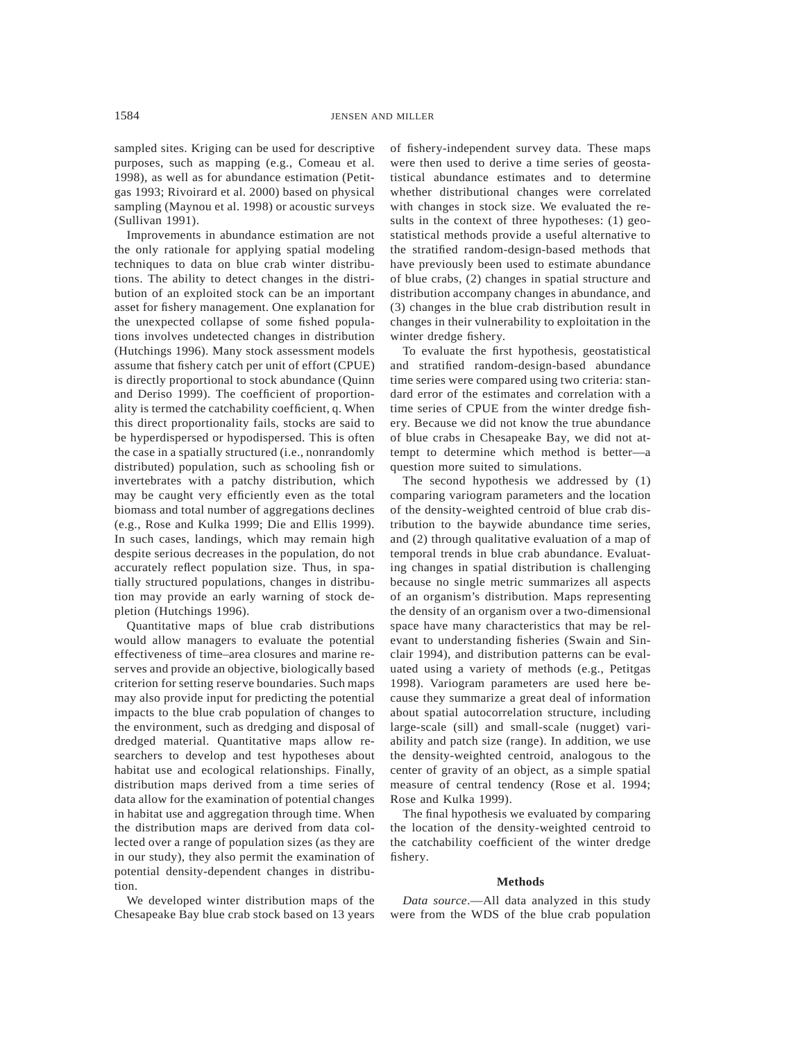sampled sites. Kriging can be used for descriptive purposes, such as mapping (e.g., Comeau et al. 1998), as well as for abundance estimation (Petitgas 1993; Rivoirard et al. 2000) based on physical sampling (Maynou et al. 1998) or acoustic surveys (Sullivan 1991).

Improvements in abundance estimation are not the only rationale for applying spatial modeling techniques to data on blue crab winter distributions. The ability to detect changes in the distribution of an exploited stock can be an important asset for fishery management. One explanation for the unexpected collapse of some fished populations involves undetected changes in distribution (Hutchings 1996). Many stock assessment models assume that fishery catch per unit of effort (CPUE) is directly proportional to stock abundance (Quinn and Deriso 1999). The coefficient of proportionality is termed the catchability coefficient, q. When this direct proportionality fails, stocks are said to be hyperdispersed or hypodispersed. This is often the case in a spatially structured (i.e., nonrandomly distributed) population, such as schooling fish or invertebrates with a patchy distribution, which may be caught very efficiently even as the total biomass and total number of aggregations declines (e.g., Rose and Kulka 1999; Die and Ellis 1999). In such cases, landings, which may remain high despite serious decreases in the population, do not accurately reflect population size. Thus, in spatially structured populations, changes in distribution may provide an early warning of stock depletion (Hutchings 1996).

Quantitative maps of blue crab distributions would allow managers to evaluate the potential effectiveness of time–area closures and marine reserves and provide an objective, biologically based criterion for setting reserve boundaries. Such maps may also provide input for predicting the potential impacts to the blue crab population of changes to the environment, such as dredging and disposal of dredged material. Quantitative maps allow researchers to develop and test hypotheses about habitat use and ecological relationships. Finally, distribution maps derived from a time series of data allow for the examination of potential changes in habitat use and aggregation through time. When the distribution maps are derived from data collected over a range of population sizes (as they are in our study), they also permit the examination of potential density-dependent changes in distribution.

We developed winter distribution maps of the Chesapeake Bay blue crab stock based on 13 years of fishery-independent survey data. These maps were then used to derive a time series of geostatistical abundance estimates and to determine whether distributional changes were correlated with changes in stock size. We evaluated the results in the context of three hypotheses: (1) geostatistical methods provide a useful alternative to the stratified random-design-based methods that have previously been used to estimate abundance of blue crabs, (2) changes in spatial structure and distribution accompany changes in abundance, and (3) changes in the blue crab distribution result in changes in their vulnerability to exploitation in the winter dredge fishery.

To evaluate the first hypothesis, geostatistical and stratified random-design-based abundance time series were compared using two criteria: standard error of the estimates and correlation with a time series of CPUE from the winter dredge fishery. Because we did not know the true abundance of blue crabs in Chesapeake Bay, we did not attempt to determine which method is better—a question more suited to simulations.

The second hypothesis we addressed by (1) comparing variogram parameters and the location of the density-weighted centroid of blue crab distribution to the baywide abundance time series, and (2) through qualitative evaluation of a map of temporal trends in blue crab abundance. Evaluating changes in spatial distribution is challenging because no single metric summarizes all aspects of an organism's distribution. Maps representing the density of an organism over a two-dimensional space have many characteristics that may be relevant to understanding fisheries (Swain and Sinclair 1994), and distribution patterns can be evaluated using a variety of methods (e.g., Petitgas 1998). Variogram parameters are used here because they summarize a great deal of information about spatial autocorrelation structure, including large-scale (sill) and small-scale (nugget) variability and patch size (range). In addition, we use the density-weighted centroid, analogous to the center of gravity of an object, as a simple spatial measure of central tendency (Rose et al. 1994; Rose and Kulka 1999).

The final hypothesis we evaluated by comparing the location of the density-weighted centroid to the catchability coefficient of the winter dredge fishery.

#### **Methods**

*Data source*.—All data analyzed in this study were from the WDS of the blue crab population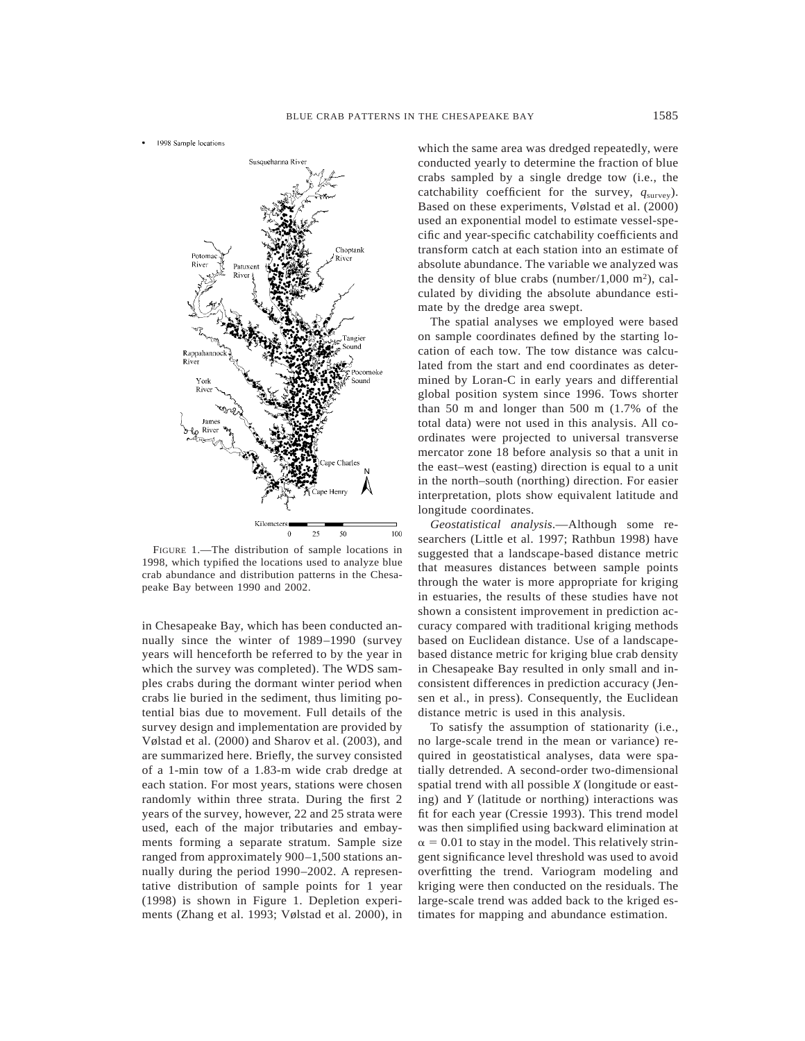1998 Sample locations



FIGURE 1.—The distribution of sample locations in 1998, which typified the locations used to analyze blue crab abundance and distribution patterns in the Chesapeake Bay between 1990 and 2002.

in Chesapeake Bay, which has been conducted annually since the winter of 1989–1990 (survey years will henceforth be referred to by the year in which the survey was completed). The WDS samples crabs during the dormant winter period when crabs lie buried in the sediment, thus limiting potential bias due to movement. Full details of the survey design and implementation are provided by Vølstad et al. (2000) and Sharov et al. (2003), and are summarized here. Briefly, the survey consisted of a 1-min tow of a 1.83-m wide crab dredge at each station. For most years, stations were chosen randomly within three strata. During the first 2 years of the survey, however, 22 and 25 strata were used, each of the major tributaries and embayments forming a separate stratum. Sample size ranged from approximately 900–1,500 stations annually during the period 1990–2002. A representative distribution of sample points for 1 year (1998) is shown in Figure 1. Depletion experiments (Zhang et al. 1993; Vølstad et al. 2000), in which the same area was dredged repeatedly, were conducted yearly to determine the fraction of blue crabs sampled by a single dredge tow (i.e., the catchability coefficient for the survey,  $q<sub>survey</sub>$ ). Based on these experiments, Vølstad et al. (2000) used an exponential model to estimate vessel-specific and year-specific catchability coefficients and transform catch at each station into an estimate of absolute abundance. The variable we analyzed was the density of blue crabs (number/1,000 m<sup>2</sup>), calculated by dividing the absolute abundance estimate by the dredge area swept.

The spatial analyses we employed were based on sample coordinates defined by the starting location of each tow. The tow distance was calculated from the start and end coordinates as determined by Loran-C in early years and differential global position system since 1996. Tows shorter than 50 m and longer than 500 m (1.7% of the total data) were not used in this analysis. All coordinates were projected to universal transverse mercator zone 18 before analysis so that a unit in the east–west (easting) direction is equal to a unit in the north–south (northing) direction. For easier interpretation, plots show equivalent latitude and longitude coordinates.

*Geostatistical analysis*.—Although some researchers (Little et al. 1997; Rathbun 1998) have suggested that a landscape-based distance metric that measures distances between sample points through the water is more appropriate for kriging in estuaries, the results of these studies have not shown a consistent improvement in prediction accuracy compared with traditional kriging methods based on Euclidean distance. Use of a landscapebased distance metric for kriging blue crab density in Chesapeake Bay resulted in only small and inconsistent differences in prediction accuracy (Jensen et al., in press). Consequently, the Euclidean distance metric is used in this analysis.

To satisfy the assumption of stationarity (i.e., no large-scale trend in the mean or variance) required in geostatistical analyses, data were spatially detrended. A second-order two-dimensional spatial trend with all possible *X* (longitude or easting) and *Y* (latitude or northing) interactions was fit for each year (Cressie 1993). This trend model was then simplified using backward elimination at  $\alpha = 0.01$  to stay in the model. This relatively stringent significance level threshold was used to avoid overfitting the trend. Variogram modeling and kriging were then conducted on the residuals. The large-scale trend was added back to the kriged estimates for mapping and abundance estimation.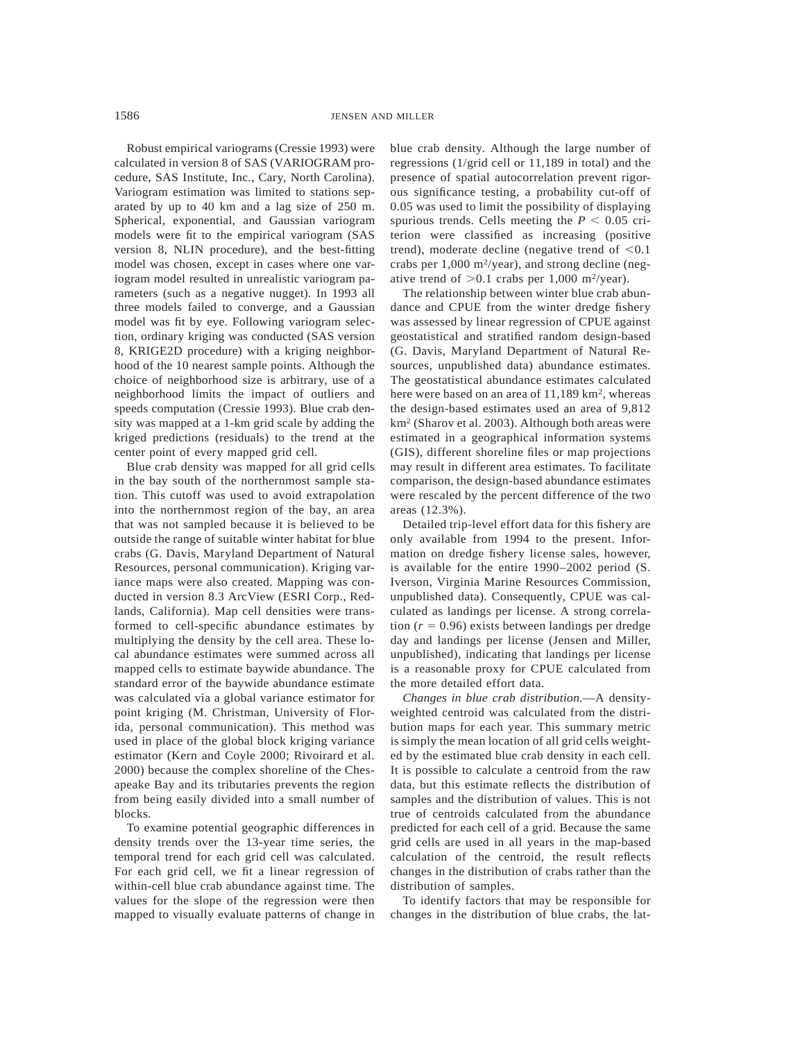Robust empirical variograms (Cressie 1993) were calculated in version 8 of SAS (VARIOGRAM procedure, SAS Institute, Inc., Cary, North Carolina). Variogram estimation was limited to stations separated by up to 40 km and a lag size of 250 m. Spherical, exponential, and Gaussian variogram models were fit to the empirical variogram (SAS version 8, NLIN procedure), and the best-fitting model was chosen, except in cases where one variogram model resulted in unrealistic variogram parameters (such as a negative nugget). In 1993 all three models failed to converge, and a Gaussian model was fit by eye. Following variogram selection, ordinary kriging was conducted (SAS version 8, KRIGE2D procedure) with a kriging neighborhood of the 10 nearest sample points. Although the choice of neighborhood size is arbitrary, use of a neighborhood limits the impact of outliers and speeds computation (Cressie 1993). Blue crab density was mapped at a 1-km grid scale by adding the kriged predictions (residuals) to the trend at the center point of every mapped grid cell.

Blue crab density was mapped for all grid cells in the bay south of the northernmost sample station. This cutoff was used to avoid extrapolation into the northernmost region of the bay, an area that was not sampled because it is believed to be outside the range of suitable winter habitat for blue crabs (G. Davis, Maryland Department of Natural Resources, personal communication). Kriging variance maps were also created. Mapping was conducted in version 8.3 ArcView (ESRI Corp., Redlands, California). Map cell densities were transformed to cell-specific abundance estimates by multiplying the density by the cell area. These local abundance estimates were summed across all mapped cells to estimate baywide abundance. The standard error of the baywide abundance estimate was calculated via a global variance estimator for point kriging (M. Christman, University of Florida, personal communication). This method was used in place of the global block kriging variance estimator (Kern and Coyle 2000; Rivoirard et al. 2000) because the complex shoreline of the Chesapeake Bay and its tributaries prevents the region from being easily divided into a small number of blocks.

To examine potential geographic differences in density trends over the 13-year time series, the temporal trend for each grid cell was calculated. For each grid cell, we fit a linear regression of within-cell blue crab abundance against time. The values for the slope of the regression were then mapped to visually evaluate patterns of change in

blue crab density. Although the large number of regressions (1/grid cell or 11,189 in total) and the presence of spatial autocorrelation prevent rigorous significance testing, a probability cut-off of 0.05 was used to limit the possibility of displaying spurious trends. Cells meeting the  $P < 0.05$  criterion were classified as increasing (positive trend), moderate decline (negative trend of  $< 0.1$ crabs per  $1,000 \text{ m}^2/\text{year}$ ), and strong decline (negative trend of  $>0.1$  crabs per 1,000 m<sup>2</sup>/year).

The relationship between winter blue crab abundance and CPUE from the winter dredge fishery was assessed by linear regression of CPUE against geostatistical and stratified random design-based (G. Davis, Maryland Department of Natural Resources, unpublished data) abundance estimates. The geostatistical abundance estimates calculated here were based on an area of 11,189 km<sup>2</sup>, whereas the design-based estimates used an area of 9,812 km2 (Sharov et al. 2003). Although both areas were estimated in a geographical information systems (GIS), different shoreline files or map projections may result in different area estimates. To facilitate comparison, the design-based abundance estimates were rescaled by the percent difference of the two areas (12.3%).

Detailed trip-level effort data for this fishery are only available from 1994 to the present. Information on dredge fishery license sales, however, is available for the entire 1990–2002 period (S. Iverson, Virginia Marine Resources Commission, unpublished data). Consequently, CPUE was calculated as landings per license. A strong correlation  $(r = 0.96)$  exists between landings per dredge day and landings per license (Jensen and Miller, unpublished), indicating that landings per license is a reasonable proxy for CPUE calculated from the more detailed effort data.

*Changes in blue crab distribution*.—A densityweighted centroid was calculated from the distribution maps for each year. This summary metric is simply the mean location of all grid cells weighted by the estimated blue crab density in each cell. It is possible to calculate a centroid from the raw data, but this estimate reflects the distribution of samples and the distribution of values. This is not true of centroids calculated from the abundance predicted for each cell of a grid. Because the same grid cells are used in all years in the map-based calculation of the centroid, the result reflects changes in the distribution of crabs rather than the distribution of samples.

To identify factors that may be responsible for changes in the distribution of blue crabs, the lat-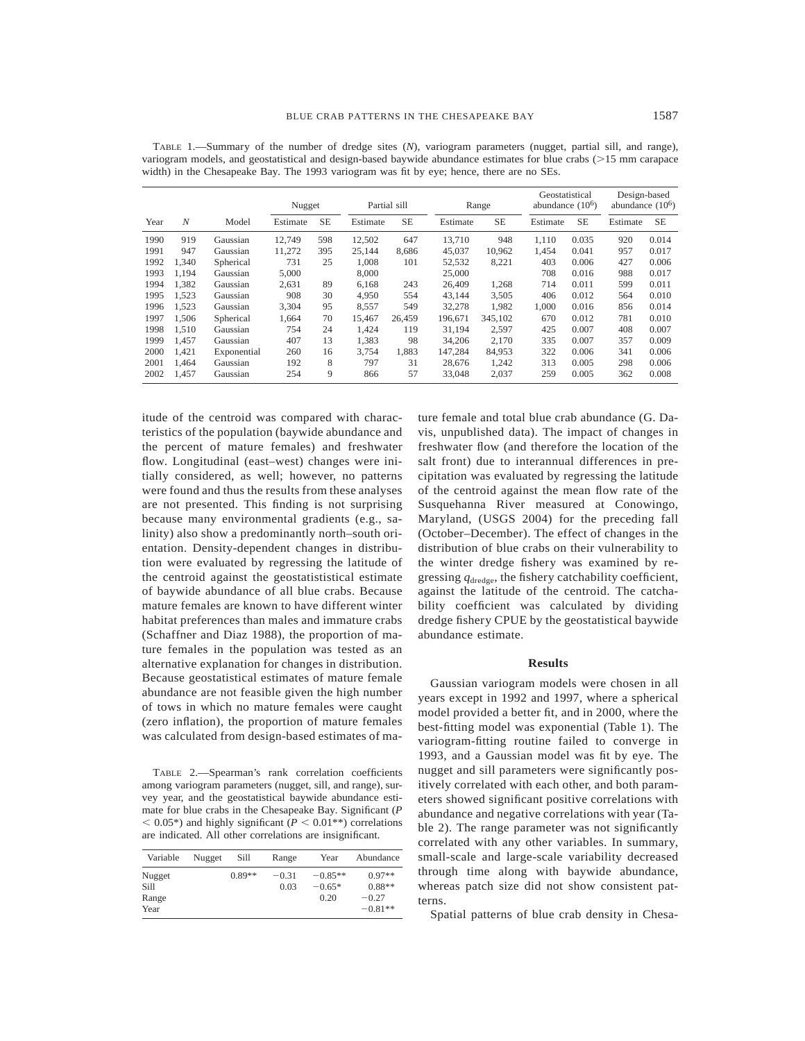|      |                  |             | Nugget   |           | Partial sill |           | Range    |           | Geostatistical<br>abundance $(106)$ |           | Design-based<br>abundance $(10^6)$ |           |
|------|------------------|-------------|----------|-----------|--------------|-----------|----------|-----------|-------------------------------------|-----------|------------------------------------|-----------|
| Year | $\boldsymbol{N}$ | Model       | Estimate | <b>SE</b> | Estimate     | <b>SE</b> | Estimate | <b>SE</b> | Estimate                            | <b>SE</b> | Estimate                           | <b>SE</b> |
| 1990 | 919              | Gaussian    | 12.749   | 598       | 12,502       | 647       | 13.710   | 948       | 1.110                               | 0.035     | 920                                | 0.014     |
| 1991 | 947              | Gaussian    | 11,272   | 395       | 25,144       | 8,686     | 45,037   | 10,962    | 1.454                               | 0.041     | 957                                | 0.017     |
| 1992 | 1.340            | Spherical   | 731      | 25        | 1.008        | 101       | 52,532   | 8,221     | 403                                 | 0.006     | 427                                | 0.006     |
| 1993 | 1.194            | Gaussian    | 5,000    |           | 8,000        |           | 25,000   |           | 708                                 | 0.016     | 988                                | 0.017     |
| 1994 | 1.382            | Gaussian    | 2,631    | 89        | 6,168        | 243       | 26,409   | 1,268     | 714                                 | 0.011     | 599                                | 0.011     |
| 1995 | 1.523            | Gaussian    | 908      | 30        | 4,950        | 554       | 43.144   | 3,505     | 406                                 | 0.012     | 564                                | 0.010     |
| 1996 | 1.523            | Gaussian    | 3,304    | 95        | 8,557        | 549       | 32,278   | 1,982     | 1.000                               | 0.016     | 856                                | 0.014     |
| 1997 | 1.506            | Spherical   | 1,664    | 70        | 15,467       | 26.459    | 196,671  | 345,102   | 670                                 | 0.012     | 781                                | 0.010     |
| 1998 | 1.510            | Gaussian    | 754      | 24        | 1.424        | 119       | 31.194   | 2,597     | 425                                 | 0.007     | 408                                | 0.007     |
| 1999 | 1.457            | Gaussian    | 407      | 13        | 1,383        | 98        | 34,206   | 2,170     | 335                                 | 0.007     | 357                                | 0.009     |
| 2000 | 1.421            | Exponential | 260      | 16        | 3.754        | 1.883     | 147.284  | 84.953    | 322                                 | 0.006     | 341                                | 0.006     |

2001 1,464 Gaussian 192 8 797 31 28,676 1,242 313 0.005 298 0.006 2002 1,457 Gaussian 254 9 866 57 33,048 2,037 259 0.005 362 0.008

TABLE 1.—Summary of the number of dredge sites (*N*), variogram parameters (nugget, partial sill, and range), variogram models, and geostatistical and design-based baywide abundance estimates for blue crabs  $($ >15 mm carapace width) in the Chesapeake Bay. The 1993 variogram was fit by eye; hence, there are no SEs.

itude of the centroid was compared with characteristics of the population (baywide abundance and the percent of mature females) and freshwater flow. Longitudinal (east–west) changes were initially considered, as well; however, no patterns were found and thus the results from these analyses are not presented. This finding is not surprising because many environmental gradients (e.g., salinity) also show a predominantly north–south orientation. Density-dependent changes in distribution were evaluated by regressing the latitude of the centroid against the geostatististical estimate of baywide abundance of all blue crabs. Because mature females are known to have different winter habitat preferences than males and immature crabs (Schaffner and Diaz 1988), the proportion of mature females in the population was tested as an alternative explanation for changes in distribution. Because geostatistical estimates of mature female abundance are not feasible given the high number of tows in which no mature females were caught (zero inflation), the proportion of mature females was calculated from design-based estimates of ma-

TABLE 2.—Spearman's rank correlation coefficients among variogram parameters (nugget, sill, and range), survey year, and the geostatistical baywide abundance estimate for blue crabs in the Chesapeake Bay. Significant (*P*  $< 0.05^*$ ) and highly significant ( $P < 0.01^{**}$ ) correlations are indicated. All other correlations are insignificant.

| Variable      | Nugget | Sill     | Range           | Year                  | Abundance            |
|---------------|--------|----------|-----------------|-----------------------|----------------------|
| Nugget        |        | $0.89**$ | $-0.31$<br>0.03 | $-0.85**$<br>$-0.65*$ | $0.97**$<br>$0.88**$ |
| Sill<br>Range |        |          |                 | 0.20                  | $-0.27$              |
| Year          |        |          |                 |                       | $-0.81**$            |

ture female and total blue crab abundance (G. Davis, unpublished data). The impact of changes in freshwater flow (and therefore the location of the salt front) due to interannual differences in precipitation was evaluated by regressing the latitude of the centroid against the mean flow rate of the Susquehanna River measured at Conowingo, Maryland, (USGS 2004) for the preceding fall (October–December). The effect of changes in the distribution of blue crabs on their vulnerability to the winter dredge fishery was examined by regressing *q*dredge, the fishery catchability coefficient, against the latitude of the centroid. The catchability coefficient was calculated by dividing dredge fishery CPUE by the geostatistical baywide abundance estimate.

## **Results**

Gaussian variogram models were chosen in all years except in 1992 and 1997, where a spherical model provided a better fit, and in 2000, where the best-fitting model was exponential (Table 1). The variogram-fitting routine failed to converge in 1993, and a Gaussian model was fit by eye. The nugget and sill parameters were significantly positively correlated with each other, and both parameters showed significant positive correlations with abundance and negative correlations with year (Table 2). The range parameter was not significantly correlated with any other variables. In summary, small-scale and large-scale variability decreased through time along with baywide abundance, whereas patch size did not show consistent patterns.

Spatial patterns of blue crab density in Chesa-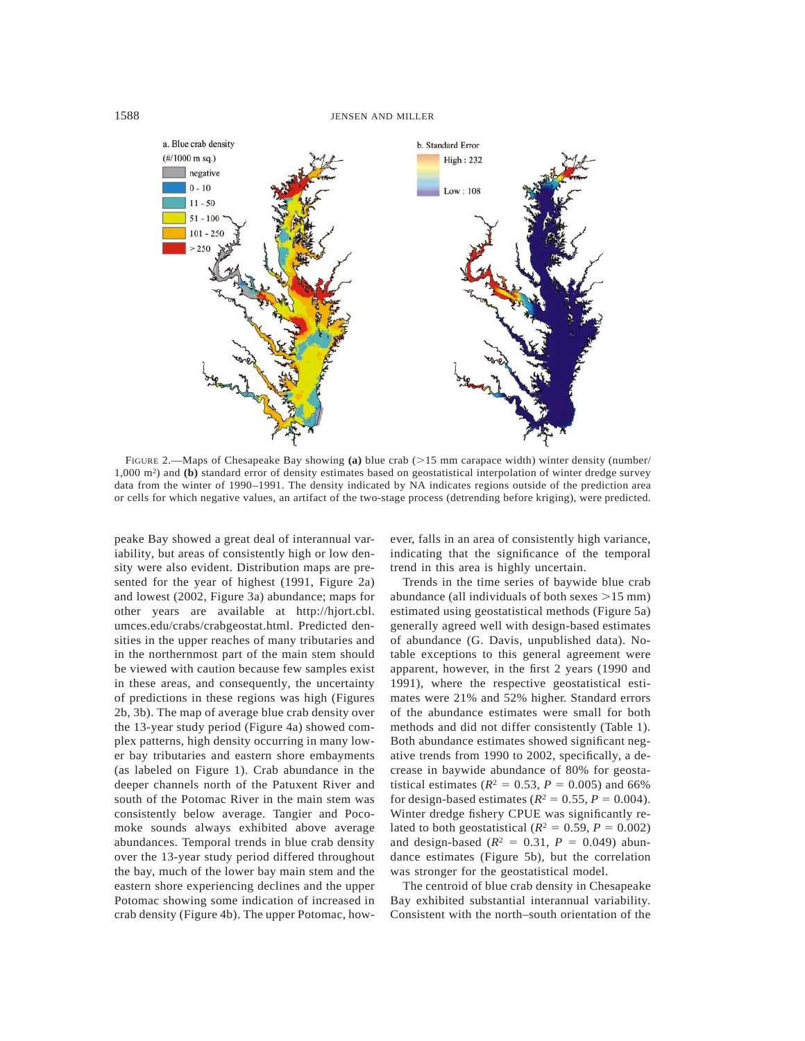

FIGURE 2.—Maps of Chesapeake Bay showing (a) blue crab ( $>15$  mm carapace width) winter density (number/ 1,000 m2) and **(b)** standard error of density estimates based on geostatistical interpolation of winter dredge survey data from the winter of 1990–1991. The density indicated by NA indicates regions outside of the prediction area or cells for which negative values, an artifact of the two-stage process (detrending before kriging), were predicted.

peake Bay showed a great deal of interannual variability, but areas of consistently high or low density were also evident. Distribution maps are presented for the year of highest (1991, Figure 2a) and lowest (2002, Figure 3a) abundance; maps for other years are available at http://hjort.cbl. umces.edu/crabs/crabgeostat.html. Predicted densities in the upper reaches of many tributaries and in the northernmost part of the main stem should be viewed with caution because few samples exist in these areas, and consequently, the uncertainty of predictions in these regions was high (Figures 2b, 3b). The map of average blue crab density over the 13-year study period (Figure 4a) showed complex patterns, high density occurring in many lower bay tributaries and eastern shore embayments (as labeled on Figure 1). Crab abundance in the deeper channels north of the Patuxent River and south of the Potomac River in the main stem was consistently below average. Tangier and Pocomoke sounds always exhibited above average abundances. Temporal trends in blue crab density over the 13-year study period differed throughout the bay, much of the lower bay main stem and the eastern shore experiencing declines and the upper Potomac showing some indication of increased in crab density (Figure 4b). The upper Potomac, however, falls in an area of consistently high variance, indicating that the significance of the temporal trend in this area is highly uncertain.

Trends in the time series of baywide blue crab abundance (all individuals of both sexes  $>15$  mm) estimated using geostatistical methods (Figure 5a) generally agreed well with design-based estimates of abundance (G. Davis, unpublished data). Notable exceptions to this general agreement were apparent, however, in the first 2 years (1990 and 1991), where the respective geostatistical estimates were 21% and 52% higher. Standard errors of the abundance estimates were small for both methods and did not differ consistently (Table 1). Both abundance estimates showed significant negative trends from 1990 to 2002, specifically, a decrease in baywide abundance of 80% for geostatistical estimates ( $R^2 = 0.53$ ,  $P = 0.005$ ) and 66% for design-based estimates ( $R^2 = 0.55$ ,  $P = 0.004$ ). Winter dredge fishery CPUE was significantly related to both geostatistical ( $R^2 = 0.59$ ,  $P = 0.002$ ) and design-based ( $R^2 = 0.31$ ,  $P = 0.049$ ) abundance estimates (Figure 5b), but the correlation was stronger for the geostatistical model.

The centroid of blue crab density in Chesapeake Bay exhibited substantial interannual variability. Consistent with the north–south orientation of the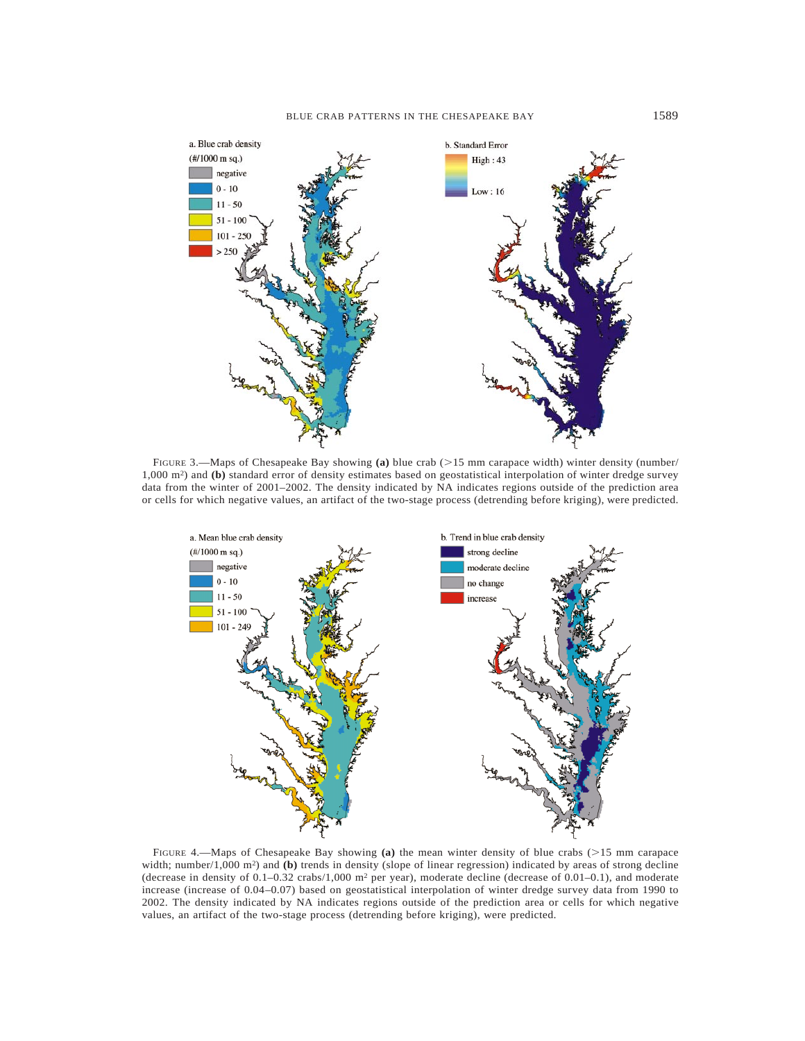

FIGURE 3.—Maps of Chesapeake Bay showing (a) blue crab (>15 mm carapace width) winter density (number/ 1,000 m2) and **(b)** standard error of density estimates based on geostatistical interpolation of winter dredge survey data from the winter of 2001–2002. The density indicated by NA indicates regions outside of the prediction area or cells for which negative values, an artifact of the two-stage process (detrending before kriging), were predicted.



FIGURE 4.—Maps of Chesapeake Bay showing (a) the mean winter density of blue crabs (>15 mm carapace width; number/1,000 m<sup>2</sup>) and **(b)** trends in density (slope of linear regression) indicated by areas of strong decline (decrease in density of 0.1–0.32 crabs/1,000 m2 per year), moderate decline (decrease of 0.01–0.1), and moderate increase (increase of 0.04–0.07) based on geostatistical interpolation of winter dredge survey data from 1990 to 2002. The density indicated by NA indicates regions outside of the prediction area or cells for which negative values, an artifact of the two-stage process (detrending before kriging), were predicted.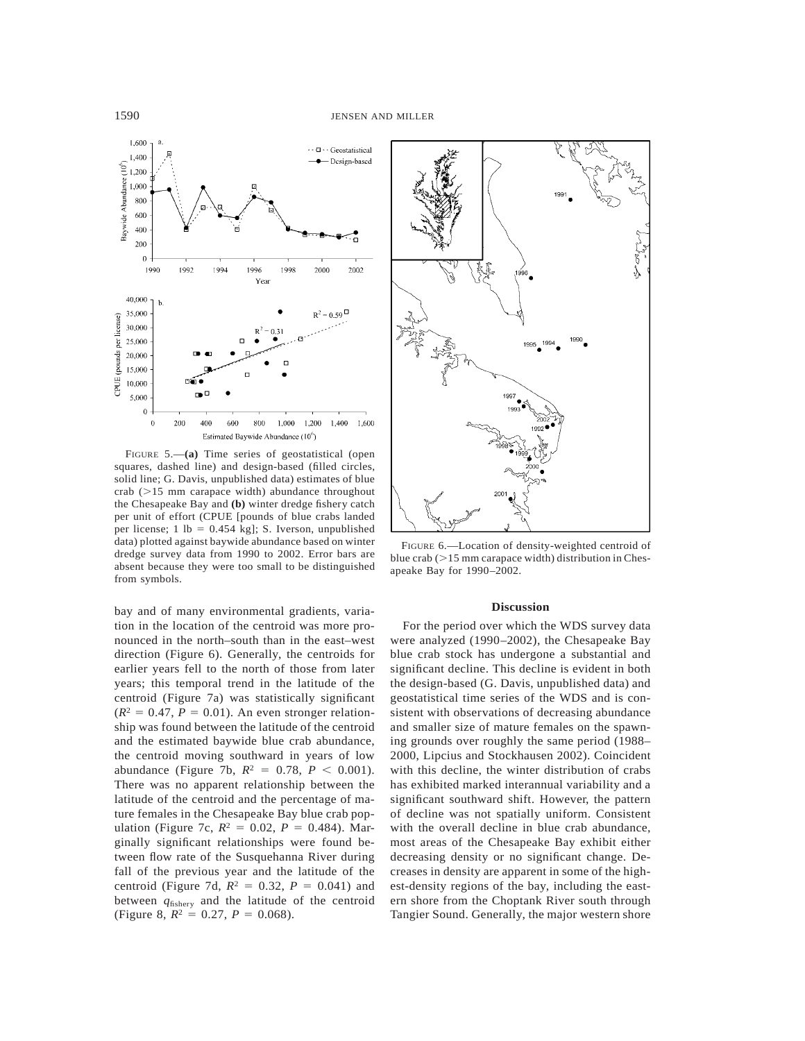

FIGURE 5.—**(a)** Time series of geostatistical (open squares, dashed line) and design-based (filled circles, solid line; G. Davis, unpublished data) estimates of blue crab  $(>15$  mm carapace width) abundance throughout the Chesapeake Bay and **(b)** winter dredge fishery catch per unit of effort (CPUE [pounds of blue crabs landed per license; 1 lb =  $0.454$  kg]; S. Iverson, unpublished data) plotted against baywide abundance based on winter dredge survey data from 1990 to 2002. Error bars are absent because they were too small to be distinguished from symbols.

bay and of many environmental gradients, variation in the location of the centroid was more pronounced in the north–south than in the east–west direction (Figure 6). Generally, the centroids for earlier years fell to the north of those from later years; this temporal trend in the latitude of the centroid (Figure 7a) was statistically significant  $(R^2 = 0.47, P = 0.01)$ . An even stronger relationship was found between the latitude of the centroid and the estimated baywide blue crab abundance, the centroid moving southward in years of low abundance (Figure 7b,  $R^2 = 0.78$ ,  $P < 0.001$ ). There was no apparent relationship between the latitude of the centroid and the percentage of mature females in the Chesapeake Bay blue crab population (Figure 7c,  $R^2 = 0.02$ ,  $P = 0.484$ ). Marginally significant relationships were found between flow rate of the Susquehanna River during fall of the previous year and the latitude of the centroid (Figure 7d,  $R^2 = 0.32$ ,  $P = 0.041$ ) and between *q*fishery and the latitude of the centroid (Figure 8,  $R^2 = 0.27$ ,  $P = 0.068$ ).



FIGURE 6.—Location of density-weighted centroid of blue crab  $(>15$  mm carapace width) distribution in Chesapeake Bay for 1990–2002.

#### **Discussion**

For the period over which the WDS survey data were analyzed (1990–2002), the Chesapeake Bay blue crab stock has undergone a substantial and significant decline. This decline is evident in both the design-based (G. Davis, unpublished data) and geostatistical time series of the WDS and is consistent with observations of decreasing abundance and smaller size of mature females on the spawning grounds over roughly the same period (1988– 2000, Lipcius and Stockhausen 2002). Coincident with this decline, the winter distribution of crabs has exhibited marked interannual variability and a significant southward shift. However, the pattern of decline was not spatially uniform. Consistent with the overall decline in blue crab abundance, most areas of the Chesapeake Bay exhibit either decreasing density or no significant change. Decreases in density are apparent in some of the highest-density regions of the bay, including the eastern shore from the Choptank River south through Tangier Sound. Generally, the major western shore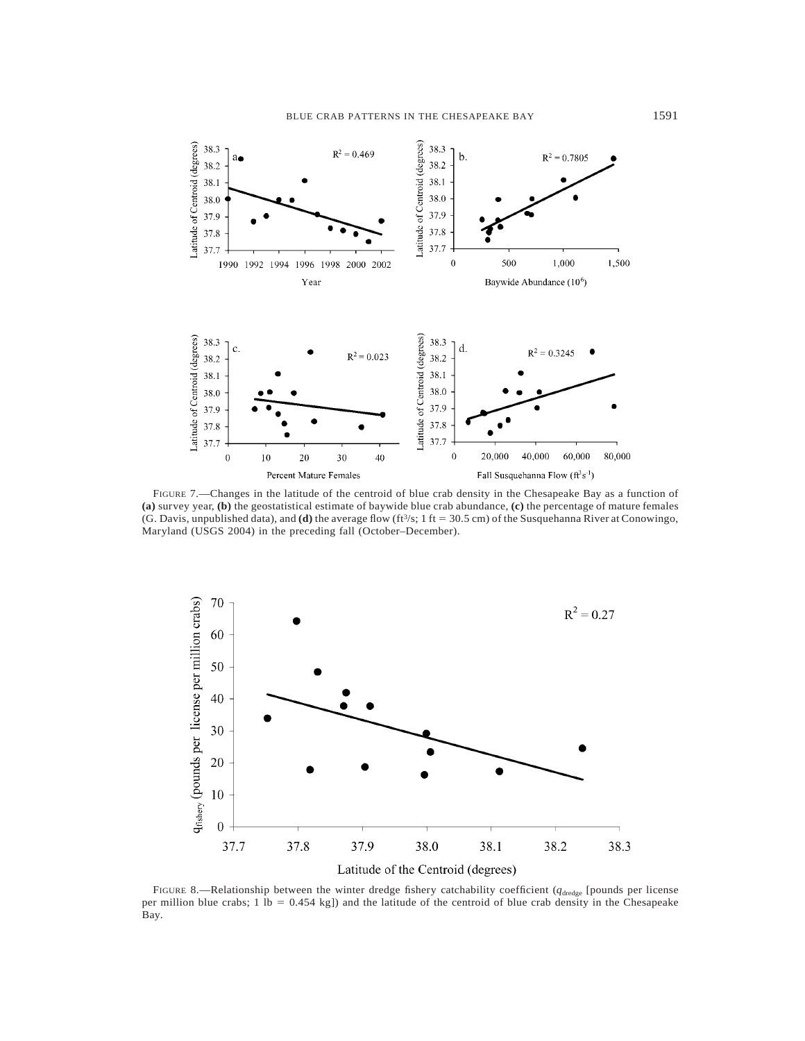

FIGURE 7.—Changes in the latitude of the centroid of blue crab density in the Chesapeake Bay as a function of **(a)** survey year, **(b)** the geostatistical estimate of baywide blue crab abundance, **(c)** the percentage of mature females (G. Davis, unpublished data), and **(d)** the average flow (ft<sup>3</sup>/s; 1 ft = 30.5 cm) of the Susquehanna River at Conowingo, Maryland (USGS 2004) in the preceding fall (October–December).



FIGURE 8.—Relationship between the winter dredge fishery catchability coefficient ( $q_{\text{dredge}}$  [pounds per license per million blue crabs;  $1 \text{ lb} = 0.454 \text{ kg}$ ]) and the latitude of the centroid of blue crab density in the Chesapeake Bay.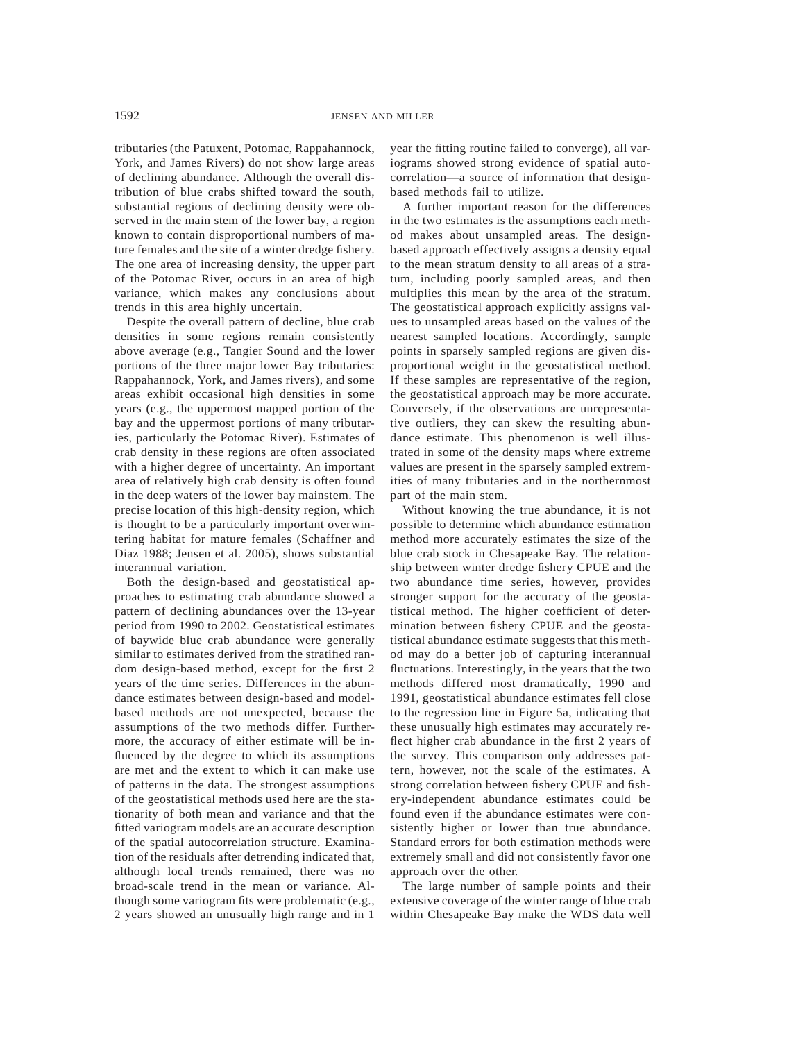tributaries (the Patuxent, Potomac, Rappahannock, York, and James Rivers) do not show large areas of declining abundance. Although the overall distribution of blue crabs shifted toward the south, substantial regions of declining density were observed in the main stem of the lower bay, a region known to contain disproportional numbers of mature females and the site of a winter dredge fishery. The one area of increasing density, the upper part of the Potomac River, occurs in an area of high variance, which makes any conclusions about trends in this area highly uncertain.

Despite the overall pattern of decline, blue crab densities in some regions remain consistently above average (e.g., Tangier Sound and the lower portions of the three major lower Bay tributaries: Rappahannock, York, and James rivers), and some areas exhibit occasional high densities in some years (e.g., the uppermost mapped portion of the bay and the uppermost portions of many tributaries, particularly the Potomac River). Estimates of crab density in these regions are often associated with a higher degree of uncertainty. An important area of relatively high crab density is often found in the deep waters of the lower bay mainstem. The precise location of this high-density region, which is thought to be a particularly important overwintering habitat for mature females (Schaffner and Diaz 1988; Jensen et al. 2005), shows substantial interannual variation.

Both the design-based and geostatistical approaches to estimating crab abundance showed a pattern of declining abundances over the 13-year period from 1990 to 2002. Geostatistical estimates of baywide blue crab abundance were generally similar to estimates derived from the stratified random design-based method, except for the first 2 years of the time series. Differences in the abundance estimates between design-based and modelbased methods are not unexpected, because the assumptions of the two methods differ. Furthermore, the accuracy of either estimate will be influenced by the degree to which its assumptions are met and the extent to which it can make use of patterns in the data. The strongest assumptions of the geostatistical methods used here are the stationarity of both mean and variance and that the fitted variogram models are an accurate description of the spatial autocorrelation structure. Examination of the residuals after detrending indicated that, although local trends remained, there was no broad-scale trend in the mean or variance. Although some variogram fits were problematic (e.g., 2 years showed an unusually high range and in 1 year the fitting routine failed to converge), all variograms showed strong evidence of spatial autocorrelation—a source of information that designbased methods fail to utilize.

A further important reason for the differences in the two estimates is the assumptions each method makes about unsampled areas. The designbased approach effectively assigns a density equal to the mean stratum density to all areas of a stratum, including poorly sampled areas, and then multiplies this mean by the area of the stratum. The geostatistical approach explicitly assigns values to unsampled areas based on the values of the nearest sampled locations. Accordingly, sample points in sparsely sampled regions are given disproportional weight in the geostatistical method. If these samples are representative of the region, the geostatistical approach may be more accurate. Conversely, if the observations are unrepresentative outliers, they can skew the resulting abundance estimate. This phenomenon is well illustrated in some of the density maps where extreme values are present in the sparsely sampled extremities of many tributaries and in the northernmost part of the main stem.

Without knowing the true abundance, it is not possible to determine which abundance estimation method more accurately estimates the size of the blue crab stock in Chesapeake Bay. The relationship between winter dredge fishery CPUE and the two abundance time series, however, provides stronger support for the accuracy of the geostatistical method. The higher coefficient of determination between fishery CPUE and the geostatistical abundance estimate suggests that this method may do a better job of capturing interannual fluctuations. Interestingly, in the years that the two methods differed most dramatically, 1990 and 1991, geostatistical abundance estimates fell close to the regression line in Figure 5a, indicating that these unusually high estimates may accurately reflect higher crab abundance in the first 2 years of the survey. This comparison only addresses pattern, however, not the scale of the estimates. A strong correlation between fishery CPUE and fishery-independent abundance estimates could be found even if the abundance estimates were consistently higher or lower than true abundance. Standard errors for both estimation methods were extremely small and did not consistently favor one approach over the other.

The large number of sample points and their extensive coverage of the winter range of blue crab within Chesapeake Bay make the WDS data well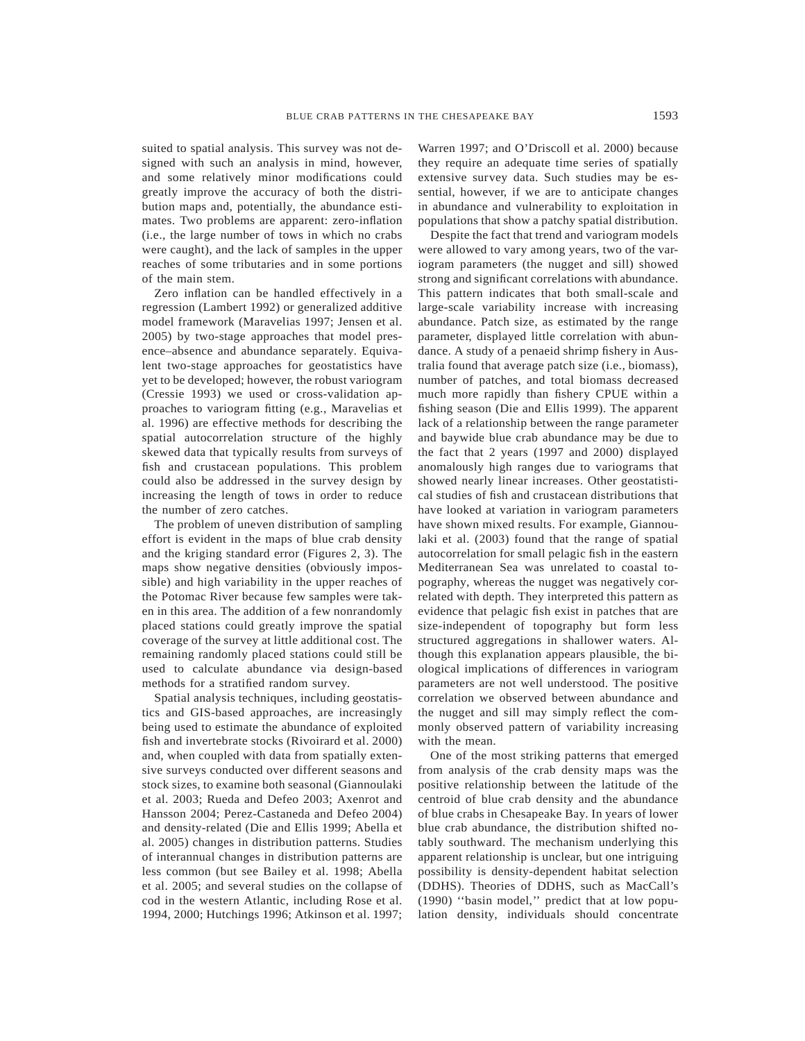suited to spatial analysis. This survey was not designed with such an analysis in mind, however, and some relatively minor modifications could greatly improve the accuracy of both the distribution maps and, potentially, the abundance estimates. Two problems are apparent: zero-inflation (i.e., the large number of tows in which no crabs were caught), and the lack of samples in the upper reaches of some tributaries and in some portions of the main stem.

Zero inflation can be handled effectively in a regression (Lambert 1992) or generalized additive model framework (Maravelias 1997; Jensen et al. 2005) by two-stage approaches that model presence–absence and abundance separately. Equivalent two-stage approaches for geostatistics have yet to be developed; however, the robust variogram (Cressie 1993) we used or cross-validation approaches to variogram fitting (e.g., Maravelias et al. 1996) are effective methods for describing the spatial autocorrelation structure of the highly skewed data that typically results from surveys of fish and crustacean populations. This problem could also be addressed in the survey design by increasing the length of tows in order to reduce the number of zero catches.

The problem of uneven distribution of sampling effort is evident in the maps of blue crab density and the kriging standard error (Figures 2, 3). The maps show negative densities (obviously impossible) and high variability in the upper reaches of the Potomac River because few samples were taken in this area. The addition of a few nonrandomly placed stations could greatly improve the spatial coverage of the survey at little additional cost. The remaining randomly placed stations could still be used to calculate abundance via design-based methods for a stratified random survey.

Spatial analysis techniques, including geostatistics and GIS-based approaches, are increasingly being used to estimate the abundance of exploited fish and invertebrate stocks (Rivoirard et al. 2000) and, when coupled with data from spatially extensive surveys conducted over different seasons and stock sizes, to examine both seasonal (Giannoulaki et al. 2003; Rueda and Defeo 2003; Axenrot and Hansson 2004; Perez-Castaneda and Defeo 2004) and density-related (Die and Ellis 1999; Abella et al. 2005) changes in distribution patterns. Studies of interannual changes in distribution patterns are less common (but see Bailey et al. 1998; Abella et al. 2005; and several studies on the collapse of cod in the western Atlantic, including Rose et al. 1994, 2000; Hutchings 1996; Atkinson et al. 1997; Warren 1997; and O'Driscoll et al. 2000) because they require an adequate time series of spatially extensive survey data. Such studies may be essential, however, if we are to anticipate changes in abundance and vulnerability to exploitation in populations that show a patchy spatial distribution.

Despite the fact that trend and variogram models were allowed to vary among years, two of the variogram parameters (the nugget and sill) showed strong and significant correlations with abundance. This pattern indicates that both small-scale and large-scale variability increase with increasing abundance. Patch size, as estimated by the range parameter, displayed little correlation with abundance. A study of a penaeid shrimp fishery in Australia found that average patch size (i.e., biomass), number of patches, and total biomass decreased much more rapidly than fishery CPUE within a fishing season (Die and Ellis 1999). The apparent lack of a relationship between the range parameter and baywide blue crab abundance may be due to the fact that 2 years (1997 and 2000) displayed anomalously high ranges due to variograms that showed nearly linear increases. Other geostatistical studies of fish and crustacean distributions that have looked at variation in variogram parameters have shown mixed results. For example, Giannoulaki et al. (2003) found that the range of spatial autocorrelation for small pelagic fish in the eastern Mediterranean Sea was unrelated to coastal topography, whereas the nugget was negatively correlated with depth. They interpreted this pattern as evidence that pelagic fish exist in patches that are size-independent of topography but form less structured aggregations in shallower waters. Although this explanation appears plausible, the biological implications of differences in variogram parameters are not well understood. The positive correlation we observed between abundance and the nugget and sill may simply reflect the commonly observed pattern of variability increasing with the mean.

One of the most striking patterns that emerged from analysis of the crab density maps was the positive relationship between the latitude of the centroid of blue crab density and the abundance of blue crabs in Chesapeake Bay. In years of lower blue crab abundance, the distribution shifted notably southward. The mechanism underlying this apparent relationship is unclear, but one intriguing possibility is density-dependent habitat selection (DDHS). Theories of DDHS, such as MacCall's (1990) ''basin model,'' predict that at low population density, individuals should concentrate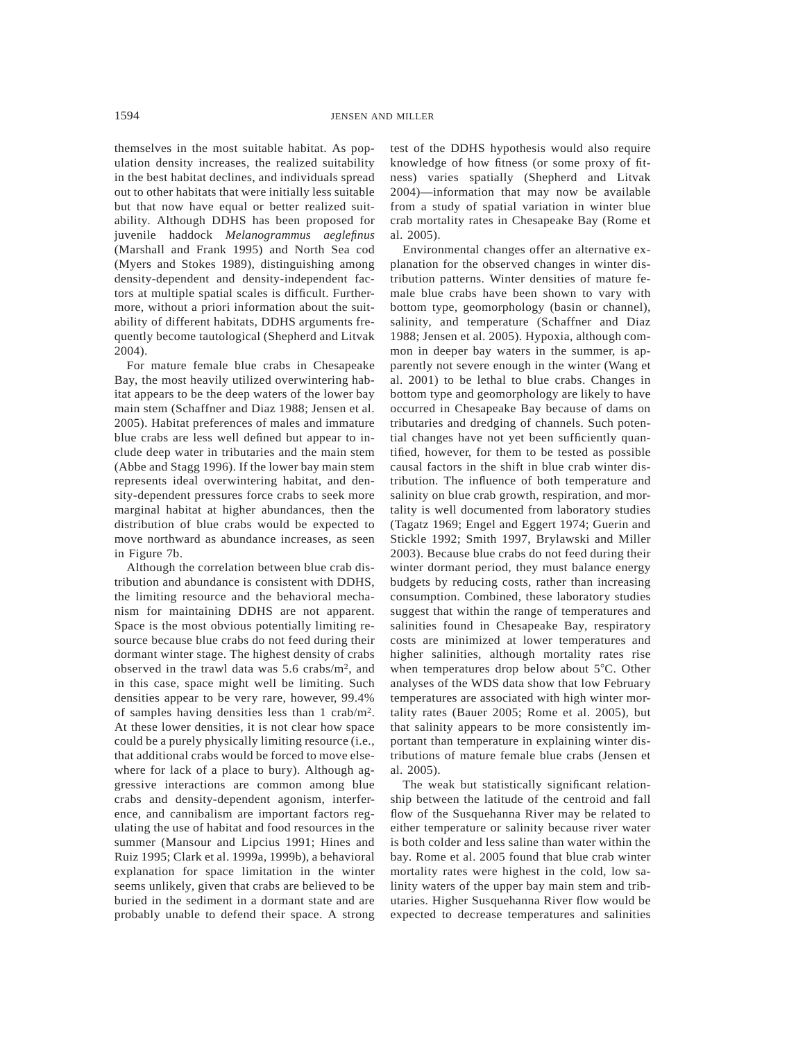themselves in the most suitable habitat. As population density increases, the realized suitability in the best habitat declines, and individuals spread out to other habitats that were initially less suitable but that now have equal or better realized suitability. Although DDHS has been proposed for juvenile haddock *Melanogrammus aeglefinus* (Marshall and Frank 1995) and North Sea cod (Myers and Stokes 1989), distinguishing among density-dependent and density-independent factors at multiple spatial scales is difficult. Furthermore, without a priori information about the suitability of different habitats, DDHS arguments frequently become tautological (Shepherd and Litvak 2004).

For mature female blue crabs in Chesapeake Bay, the most heavily utilized overwintering habitat appears to be the deep waters of the lower bay main stem (Schaffner and Diaz 1988; Jensen et al. 2005). Habitat preferences of males and immature blue crabs are less well defined but appear to include deep water in tributaries and the main stem (Abbe and Stagg 1996). If the lower bay main stem represents ideal overwintering habitat, and density-dependent pressures force crabs to seek more marginal habitat at higher abundances, then the distribution of blue crabs would be expected to move northward as abundance increases, as seen in Figure 7b.

Although the correlation between blue crab distribution and abundance is consistent with DDHS, the limiting resource and the behavioral mechanism for maintaining DDHS are not apparent. Space is the most obvious potentially limiting resource because blue crabs do not feed during their dormant winter stage. The highest density of crabs observed in the trawl data was 5.6 crabs/m2, and in this case, space might well be limiting. Such densities appear to be very rare, however, 99.4% of samples having densities less than 1 crab/m2. At these lower densities, it is not clear how space could be a purely physically limiting resource (i.e., that additional crabs would be forced to move elsewhere for lack of a place to bury). Although aggressive interactions are common among blue crabs and density-dependent agonism, interference, and cannibalism are important factors regulating the use of habitat and food resources in the summer (Mansour and Lipcius 1991; Hines and Ruiz 1995; Clark et al. 1999a, 1999b), a behavioral explanation for space limitation in the winter seems unlikely, given that crabs are believed to be buried in the sediment in a dormant state and are probably unable to defend their space. A strong test of the DDHS hypothesis would also require knowledge of how fitness (or some proxy of fitness) varies spatially (Shepherd and Litvak 2004)—information that may now be available from a study of spatial variation in winter blue crab mortality rates in Chesapeake Bay (Rome et al. 2005).

Environmental changes offer an alternative explanation for the observed changes in winter distribution patterns. Winter densities of mature female blue crabs have been shown to vary with bottom type, geomorphology (basin or channel), salinity, and temperature (Schaffner and Diaz 1988; Jensen et al. 2005). Hypoxia, although common in deeper bay waters in the summer, is apparently not severe enough in the winter (Wang et al. 2001) to be lethal to blue crabs. Changes in bottom type and geomorphology are likely to have occurred in Chesapeake Bay because of dams on tributaries and dredging of channels. Such potential changes have not yet been sufficiently quantified, however, for them to be tested as possible causal factors in the shift in blue crab winter distribution. The influence of both temperature and salinity on blue crab growth, respiration, and mortality is well documented from laboratory studies (Tagatz 1969; Engel and Eggert 1974; Guerin and Stickle 1992; Smith 1997, Brylawski and Miller 2003). Because blue crabs do not feed during their winter dormant period, they must balance energy budgets by reducing costs, rather than increasing consumption. Combined, these laboratory studies suggest that within the range of temperatures and salinities found in Chesapeake Bay, respiratory costs are minimized at lower temperatures and higher salinities, although mortality rates rise when temperatures drop below about  $5^{\circ}$ C. Other analyses of the WDS data show that low February temperatures are associated with high winter mortality rates (Bauer 2005; Rome et al. 2005), but that salinity appears to be more consistently important than temperature in explaining winter distributions of mature female blue crabs (Jensen et al. 2005).

The weak but statistically significant relationship between the latitude of the centroid and fall flow of the Susquehanna River may be related to either temperature or salinity because river water is both colder and less saline than water within the bay. Rome et al. 2005 found that blue crab winter mortality rates were highest in the cold, low salinity waters of the upper bay main stem and tributaries. Higher Susquehanna River flow would be expected to decrease temperatures and salinities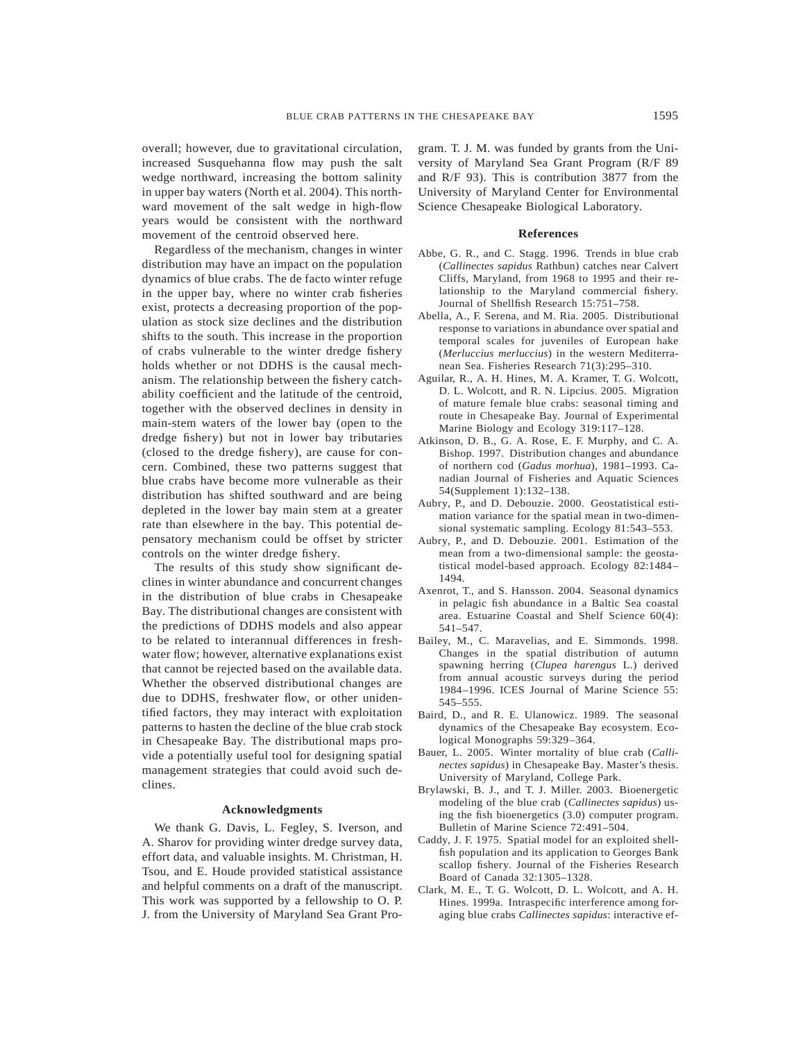overall; however, due to gravitational circulation, increased Susquehanna flow may push the salt wedge northward, increasing the bottom salinity in upper bay waters (North et al. 2004). This northward movement of the salt wedge in high-flow years would be consistent with the northward movement of the centroid observed here.

Regardless of the mechanism, changes in winter distribution may have an impact on the population dynamics of blue crabs. The de facto winter refuge in the upper bay, where no winter crab fisheries exist, protects a decreasing proportion of the population as stock size declines and the distribution shifts to the south. This increase in the proportion of crabs vulnerable to the winter dredge fishery holds whether or not DDHS is the causal mechanism. The relationship between the fishery catchability coefficient and the latitude of the centroid, together with the observed declines in density in main-stem waters of the lower bay (open to the dredge fishery) but not in lower bay tributaries (closed to the dredge fishery), are cause for concern. Combined, these two patterns suggest that blue crabs have become more vulnerable as their distribution has shifted southward and are being depleted in the lower bay main stem at a greater rate than elsewhere in the bay. This potential depensatory mechanism could be offset by stricter controls on the winter dredge fishery.

The results of this study show significant declines in winter abundance and concurrent changes in the distribution of blue crabs in Chesapeake Bay. The distributional changes are consistent with the predictions of DDHS models and also appear to be related to interannual differences in freshwater flow; however, alternative explanations exist that cannot be rejected based on the available data. Whether the observed distributional changes are due to DDHS, freshwater flow, or other unidentified factors, they may interact with exploitation patterns to hasten the decline of the blue crab stock in Chesapeake Bay. The distributional maps provide a potentially useful tool for designing spatial management strategies that could avoid such declines.

### **Acknowledgments**

We thank G. Davis, L. Fegley, S. Iverson, and A. Sharov for providing winter dredge survey data, effort data, and valuable insights. M. Christman, H. Tsou, and E. Houde provided statistical assistance and helpful comments on a draft of the manuscript. This work was supported by a fellowship to O. P. J. from the University of Maryland Sea Grant Program. T. J. M. was funded by grants from the University of Maryland Sea Grant Program (R/F 89 and R/F 93). This is contribution 3877 from the University of Maryland Center for Environmental Science Chesapeake Biological Laboratory.

## **References**

- Abbe, G. R., and C. Stagg. 1996. Trends in blue crab (*Callinectes sapidus* Rathbun) catches near Calvert Cliffs, Maryland, from 1968 to 1995 and their relationship to the Maryland commercial fishery. Journal of Shellfish Research 15:751–758.
- Abella, A., F. Serena, and M. Ria. 2005. Distributional response to variations in abundance over spatial and temporal scales for juveniles of European hake (*Merluccius merluccius*) in the western Mediterranean Sea. Fisheries Research 71(3):295–310.
- Aguilar, R., A. H. Hines, M. A. Kramer, T. G. Wolcott, D. L. Wolcott, and R. N. Lipcius. 2005. Migration of mature female blue crabs: seasonal timing and route in Chesapeake Bay. Journal of Experimental Marine Biology and Ecology 319:117–128.
- Atkinson, D. B., G. A. Rose, E. F. Murphy, and C. A. Bishop. 1997. Distribution changes and abundance of northern cod (*Gadus morhua*), 1981–1993. Canadian Journal of Fisheries and Aquatic Sciences 54(Supplement 1):132–138.
- Aubry, P., and D. Debouzie. 2000. Geostatistical estimation variance for the spatial mean in two-dimensional systematic sampling. Ecology 81:543–553.
- Aubry, P., and D. Debouzie. 2001. Estimation of the mean from a two-dimensional sample: the geostatistical model-based approach. Ecology 82:1484– 1494.
- Axenrot, T., and S. Hansson. 2004. Seasonal dynamics in pelagic fish abundance in a Baltic Sea coastal area. Estuarine Coastal and Shelf Science 60(4): 541–547.
- Bailey, M., C. Maravelias, and E. Simmonds. 1998. Changes in the spatial distribution of autumn spawning herring (*Clupea harengus* L.) derived from annual acoustic surveys during the period 1984–1996. ICES Journal of Marine Science 55: 545–555.
- Baird, D., and R. E. Ulanowicz. 1989. The seasonal dynamics of the Chesapeake Bay ecosystem. Ecological Monographs 59:329–364.
- Bauer, L. 2005. Winter mortality of blue crab (*Callinectes sapidus*) in Chesapeake Bay. Master's thesis. University of Maryland, College Park.
- Brylawski, B. J., and T. J. Miller. 2003. Bioenergetic modeling of the blue crab (*Callinectes sapidus*) using the fish bioenergetics (3.0) computer program. Bulletin of Marine Science 72:491–504.
- Caddy, J. F. 1975. Spatial model for an exploited shellfish population and its application to Georges Bank scallop fishery. Journal of the Fisheries Research Board of Canada 32:1305–1328.
- Clark, M. E., T. G. Wolcott, D. L. Wolcott, and A. H. Hines. 1999a. Intraspecific interference among foraging blue crabs *Callinectes sapidus*: interactive ef-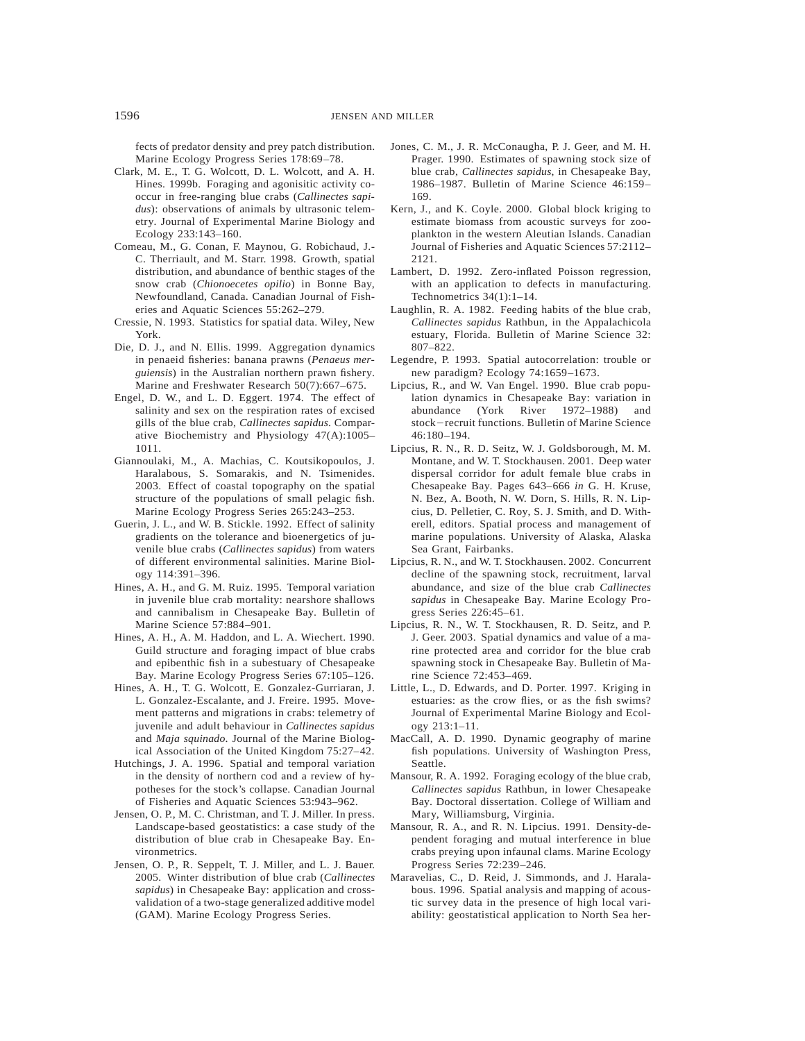fects of predator density and prey patch distribution. Marine Ecology Progress Series 178:69–78.

- Clark, M. E., T. G. Wolcott, D. L. Wolcott, and A. H. Hines. 1999b. Foraging and agonisitic activity cooccur in free-ranging blue crabs (*Callinectes sapidus*): observations of animals by ultrasonic telemetry. Journal of Experimental Marine Biology and Ecology 233:143–160.
- Comeau, M., G. Conan, F. Maynou, G. Robichaud, J.- C. Therriault, and M. Starr. 1998. Growth, spatial distribution, and abundance of benthic stages of the snow crab (*Chionoecetes opilio*) in Bonne Bay, Newfoundland, Canada. Canadian Journal of Fisheries and Aquatic Sciences 55:262–279.
- Cressie, N. 1993. Statistics for spatial data. Wiley, New York.
- Die, D. J., and N. Ellis. 1999. Aggregation dynamics in penaeid fisheries: banana prawns (*Penaeus merguiensis*) in the Australian northern prawn fishery. Marine and Freshwater Research 50(7):667–675.
- Engel, D. W., and L. D. Eggert. 1974. The effect of salinity and sex on the respiration rates of excised gills of the blue crab, *Callinectes sapidus*. Comparative Biochemistry and Physiology 47(A):1005– 1011.
- Giannoulaki, M., A. Machias, C. Koutsikopoulos, J. Haralabous, S. Somarakis, and N. Tsimenides. 2003. Effect of coastal topography on the spatial structure of the populations of small pelagic fish. Marine Ecology Progress Series 265:243–253.
- Guerin, J. L., and W. B. Stickle. 1992. Effect of salinity gradients on the tolerance and bioenergetics of juvenile blue crabs (*Callinectes sapidus*) from waters of different environmental salinities. Marine Biology 114:391–396.
- Hines, A. H., and G. M. Ruiz. 1995. Temporal variation in juvenile blue crab mortality: nearshore shallows and cannibalism in Chesapeake Bay. Bulletin of Marine Science 57:884–901.
- Hines, A. H., A. M. Haddon, and L. A. Wiechert. 1990. Guild structure and foraging impact of blue crabs and epibenthic fish in a subestuary of Chesapeake Bay. Marine Ecology Progress Series 67:105–126.
- Hines, A. H., T. G. Wolcott, E. Gonzalez-Gurriaran, J. L. Gonzalez-Escalante, and J. Freire. 1995. Movement patterns and migrations in crabs: telemetry of juvenile and adult behaviour in *Callinectes sapidus* and *Maja squinado*. Journal of the Marine Biological Association of the United Kingdom 75:27–42.
- Hutchings, J. A. 1996. Spatial and temporal variation in the density of northern cod and a review of hypotheses for the stock's collapse. Canadian Journal of Fisheries and Aquatic Sciences 53:943–962.
- Jensen, O. P., M. C. Christman, and T. J. Miller. In press. Landscape-based geostatistics: a case study of the distribution of blue crab in Chesapeake Bay. Environmetrics.
- Jensen, O. P., R. Seppelt, T. J. Miller, and L. J. Bauer. 2005. Winter distribution of blue crab (*Callinectes sapidus*) in Chesapeake Bay: application and crossvalidation of a two-stage generalized additive model (GAM). Marine Ecology Progress Series.
- Jones, C. M., J. R. McConaugha, P. J. Geer, and M. H. Prager. 1990. Estimates of spawning stock size of blue crab, *Callinectes sapidus*, in Chesapeake Bay, 1986–1987. Bulletin of Marine Science 46:159– 169.
- Kern, J., and K. Coyle. 2000. Global block kriging to estimate biomass from acoustic surveys for zooplankton in the western Aleutian Islands. Canadian Journal of Fisheries and Aquatic Sciences 57:2112– 2121.
- Lambert, D. 1992. Zero-inflated Poisson regression, with an application to defects in manufacturing. Technometrics 34(1):1–14.
- Laughlin, R. A. 1982. Feeding habits of the blue crab, *Callinectes sapidus* Rathbun, in the Appalachicola estuary, Florida. Bulletin of Marine Science 32: 807–822.
- Legendre, P. 1993. Spatial autocorrelation: trouble or new paradigm? Ecology 74:1659–1673.
- Lipcius, R., and W. Van Engel. 1990. Blue crab population dynamics in Chesapeake Bay: variation in abundance (York River 1972–1988) and stock-recruit functions. Bulletin of Marine Science 46:180–194.
- Lipcius, R. N., R. D. Seitz, W. J. Goldsborough, M. M. Montane, and W. T. Stockhausen. 2001. Deep water dispersal corridor for adult female blue crabs in Chesapeake Bay. Pages 643–666 *in* G. H. Kruse, N. Bez, A. Booth, N. W. Dorn, S. Hills, R. N. Lipcius, D. Pelletier, C. Roy, S. J. Smith, and D. Witherell, editors. Spatial process and management of marine populations. University of Alaska, Alaska Sea Grant, Fairbanks.
- Lipcius, R. N., and W. T. Stockhausen. 2002. Concurrent decline of the spawning stock, recruitment, larval abundance, and size of the blue crab *Callinectes sapidus* in Chesapeake Bay. Marine Ecology Progress Series 226:45–61.
- Lipcius, R. N., W. T. Stockhausen, R. D. Seitz, and P. J. Geer. 2003. Spatial dynamics and value of a marine protected area and corridor for the blue crab spawning stock in Chesapeake Bay. Bulletin of Marine Science 72:453–469.
- Little, L., D. Edwards, and D. Porter. 1997. Kriging in estuaries: as the crow flies, or as the fish swims? Journal of Experimental Marine Biology and Ecology 213:1–11.
- MacCall, A. D. 1990. Dynamic geography of marine fish populations. University of Washington Press, Seattle.
- Mansour, R. A. 1992. Foraging ecology of the blue crab, *Callinectes sapidus* Rathbun, in lower Chesapeake Bay. Doctoral dissertation. College of William and Mary, Williamsburg, Virginia.
- Mansour, R. A., and R. N. Lipcius. 1991. Density-dependent foraging and mutual interference in blue crabs preying upon infaunal clams. Marine Ecology Progress Series 72:239–246.
- Maravelias, C., D. Reid, J. Simmonds, and J. Haralabous. 1996. Spatial analysis and mapping of acoustic survey data in the presence of high local variability: geostatistical application to North Sea her-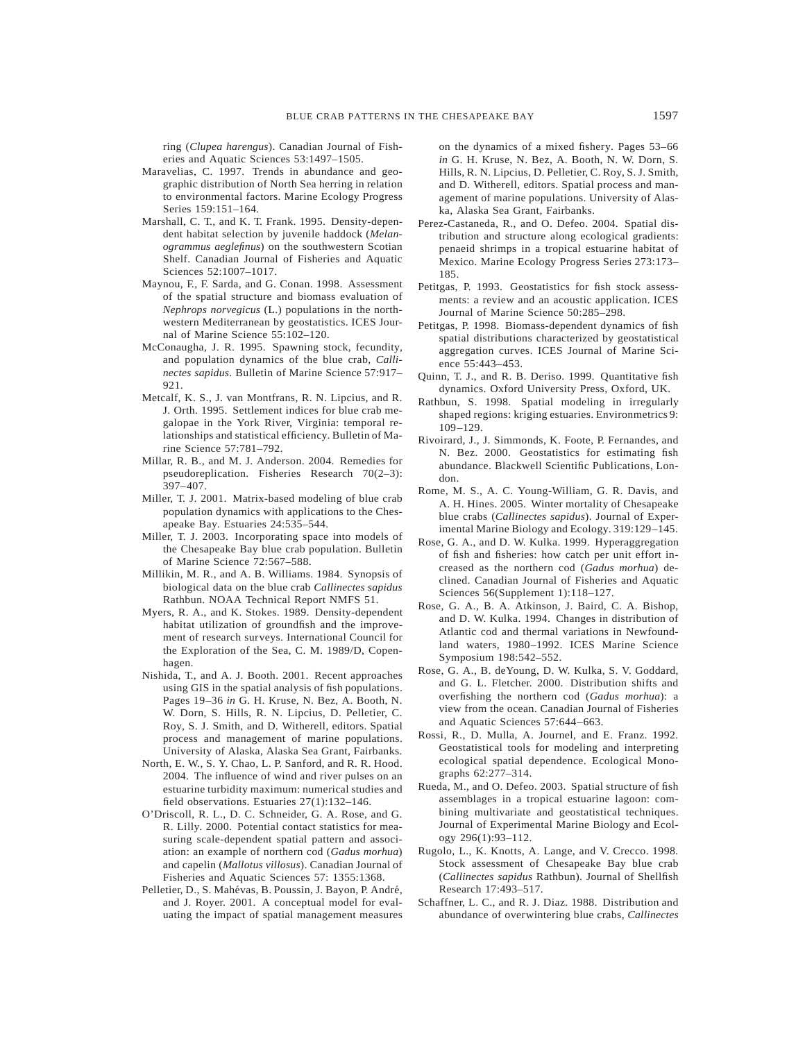ring (*Clupea harengus*). Canadian Journal of Fisheries and Aquatic Sciences 53:1497–1505.

- Maravelias, C. 1997. Trends in abundance and geographic distribution of North Sea herring in relation to environmental factors. Marine Ecology Progress Series 159:151–164.
- Marshall, C. T., and K. T. Frank. 1995. Density-dependent habitat selection by juvenile haddock (*Melanogrammus aeglefinus*) on the southwestern Scotian Shelf. Canadian Journal of Fisheries and Aquatic Sciences 52:1007–1017.
- Maynou, F., F. Sarda, and G. Conan. 1998. Assessment of the spatial structure and biomass evaluation of *Nephrops norvegicus* (L.) populations in the northwestern Mediterranean by geostatistics. ICES Journal of Marine Science 55:102–120.
- McConaugha, J. R. 1995. Spawning stock, fecundity, and population dynamics of the blue crab, *Callinectes sapidus*. Bulletin of Marine Science 57:917– 921.
- Metcalf, K. S., J. van Montfrans, R. N. Lipcius, and R. J. Orth. 1995. Settlement indices for blue crab megalopae in the York River, Virginia: temporal relationships and statistical efficiency. Bulletin of Marine Science 57:781–792.
- Millar, R. B., and M. J. Anderson. 2004. Remedies for pseudoreplication. Fisheries Research 70(2–3): 397–407.
- Miller, T. J. 2001. Matrix-based modeling of blue crab population dynamics with applications to the Chesapeake Bay. Estuaries 24:535–544.
- Miller, T. J. 2003. Incorporating space into models of the Chesapeake Bay blue crab population. Bulletin of Marine Science 72:567–588.
- Millikin, M. R., and A. B. Williams. 1984. Synopsis of biological data on the blue crab *Callinectes sapidus* Rathbun. NOAA Technical Report NMFS 51.
- Myers, R. A., and K. Stokes. 1989. Density-dependent habitat utilization of groundfish and the improvement of research surveys. International Council for the Exploration of the Sea, C. M. 1989/D, Copenhagen.
- Nishida, T., and A. J. Booth. 2001. Recent approaches using GIS in the spatial analysis of fish populations. Pages 19–36 *in* G. H. Kruse, N. Bez, A. Booth, N. W. Dorn, S. Hills, R. N. Lipcius, D. Pelletier, C. Roy, S. J. Smith, and D. Witherell, editors. Spatial process and management of marine populations. University of Alaska, Alaska Sea Grant, Fairbanks.
- North, E. W., S. Y. Chao, L. P. Sanford, and R. R. Hood. 2004. The influence of wind and river pulses on an estuarine turbidity maximum: numerical studies and field observations. Estuaries 27(1):132–146.
- O'Driscoll, R. L., D. C. Schneider, G. A. Rose, and G. R. Lilly. 2000. Potential contact statistics for measuring scale-dependent spatial pattern and association: an example of northern cod (*Gadus morhua*) and capelin (*Mallotus villosus*). Canadian Journal of Fisheries and Aquatic Sciences 57: 1355:1368.
- Pelletier, D., S. Mahévas, B. Poussin, J. Bayon, P. André, and J. Royer. 2001. A conceptual model for evaluating the impact of spatial management measures

on the dynamics of a mixed fishery. Pages 53–66 *in* G. H. Kruse, N. Bez, A. Booth, N. W. Dorn, S. Hills, R. N. Lipcius, D. Pelletier, C. Roy, S. J. Smith, and D. Witherell, editors. Spatial process and management of marine populations. University of Alaska, Alaska Sea Grant, Fairbanks.

- Perez-Castaneda, R., and O. Defeo. 2004. Spatial distribution and structure along ecological gradients: penaeid shrimps in a tropical estuarine habitat of Mexico. Marine Ecology Progress Series 273:173– 185.
- Petitgas, P. 1993. Geostatistics for fish stock assessments: a review and an acoustic application. ICES Journal of Marine Science 50:285–298.
- Petitgas, P. 1998. Biomass-dependent dynamics of fish spatial distributions characterized by geostatistical aggregation curves. ICES Journal of Marine Science 55:443–453.
- Quinn, T. J., and R. B. Deriso. 1999. Quantitative fish dynamics. Oxford University Press, Oxford, UK.
- Rathbun, S. 1998. Spatial modeling in irregularly shaped regions: kriging estuaries. Environmetrics 9: 109–129.
- Rivoirard, J., J. Simmonds, K. Foote, P. Fernandes, and N. Bez. 2000. Geostatistics for estimating fish abundance. Blackwell Scientific Publications, London.
- Rome, M. S., A. C. Young-William, G. R. Davis, and A. H. Hines. 2005. Winter mortality of Chesapeake blue crabs (*Callinectes sapidus*). Journal of Experimental Marine Biology and Ecology. 319:129–145.
- Rose, G. A., and D. W. Kulka. 1999. Hyperaggregation of fish and fisheries: how catch per unit effort increased as the northern cod (*Gadus morhua*) declined. Canadian Journal of Fisheries and Aquatic Sciences 56(Supplement 1):118–127.
- Rose, G. A., B. A. Atkinson, J. Baird, C. A. Bishop, and D. W. Kulka. 1994. Changes in distribution of Atlantic cod and thermal variations in Newfoundland waters, 1980–1992. ICES Marine Science Symposium 198:542–552.
- Rose, G. A., B. deYoung, D. W. Kulka, S. V. Goddard, and G. L. Fletcher. 2000. Distribution shifts and overfishing the northern cod (*Gadus morhua*): a view from the ocean. Canadian Journal of Fisheries and Aquatic Sciences 57:644–663.
- Rossi, R., D. Mulla, A. Journel, and E. Franz. 1992. Geostatistical tools for modeling and interpreting ecological spatial dependence. Ecological Monographs 62:277–314.
- Rueda, M., and O. Defeo. 2003. Spatial structure of fish assemblages in a tropical estuarine lagoon: combining multivariate and geostatistical techniques. Journal of Experimental Marine Biology and Ecology 296(1):93–112.
- Rugolo, L., K. Knotts, A. Lange, and V. Crecco. 1998. Stock assessment of Chesapeake Bay blue crab (*Callinectes sapidus* Rathbun). Journal of Shellfish Research 17:493–517.
- Schaffner, L. C., and R. J. Diaz. 1988. Distribution and abundance of overwintering blue crabs, *Callinectes*